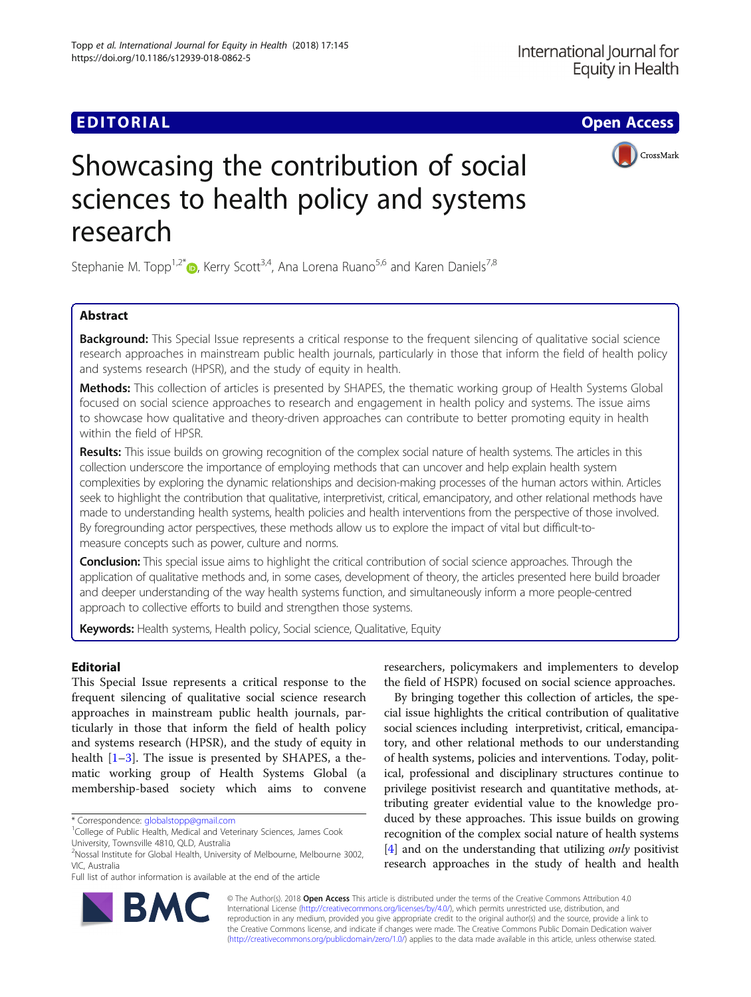## **EDITORIAL CONSTRUCTION CONTROL**



# Showcasing the contribution of social sciences to health policy and systems research

Stephanie M. Topp<sup>1[,](http://orcid.org/0000-0002-3448-7983)2\*</sup>  $\bullet$ , Kerry Scott<sup>3,4</sup>, Ana Lorena Ruano<sup>5,6</sup> and Karen Daniels<sup>7,8</sup>

### Abstract

**Background:** This Special Issue represents a critical response to the frequent silencing of qualitative social science research approaches in mainstream public health journals, particularly in those that inform the field of health policy and systems research (HPSR), and the study of equity in health.

Methods: This collection of articles is presented by SHAPES, the thematic working group of Health Systems Global focused on social science approaches to research and engagement in health policy and systems. The issue aims to showcase how qualitative and theory-driven approaches can contribute to better promoting equity in health within the field of HPSR.

Results: This issue builds on growing recognition of the complex social nature of health systems. The articles in this collection underscore the importance of employing methods that can uncover and help explain health system complexities by exploring the dynamic relationships and decision-making processes of the human actors within. Articles seek to highlight the contribution that qualitative, interpretivist, critical, emancipatory, and other relational methods have made to understanding health systems, health policies and health interventions from the perspective of those involved. By foregrounding actor perspectives, these methods allow us to explore the impact of vital but difficult-tomeasure concepts such as power, culture and norms.

**Conclusion:** This special issue aims to highlight the critical contribution of social science approaches. Through the application of qualitative methods and, in some cases, development of theory, the articles presented here build broader and deeper understanding of the way health systems function, and simultaneously inform a more people-centred approach to collective efforts to build and strengthen those systems.

Keywords: Health systems, Health policy, Social science, Qualitative, Equity

#### Editorial

This Special Issue represents a critical response to the frequent silencing of qualitative social science research approaches in mainstream public health journals, particularly in those that inform the field of health policy and systems research (HPSR), and the study of equity in health  $[1-3]$  $[1-3]$  $[1-3]$  $[1-3]$ . The issue is presented by SHAPES, a thematic working group of Health Systems Global (a membership-based society which aims to convene

researchers, policymakers and implementers to develop the field of HSPR) focused on social science approaches.

By bringing together this collection of articles, the special issue highlights the critical contribution of qualitative social sciences including interpretivist, critical, emancipatory, and other relational methods to our understanding of health systems, policies and interventions. Today, political, professional and disciplinary structures continue to privilege positivist research and quantitative methods, attributing greater evidential value to the knowledge produced by these approaches. This issue builds on growing recognition of the complex social nature of health systems [[4\]](#page-3-0) and on the understanding that utilizing *only* positivist research approaches in the study of health and health



© The Author(s). 2018 Open Access This article is distributed under the terms of the Creative Commons Attribution 4.0 International License [\(http://creativecommons.org/licenses/by/4.0/](http://creativecommons.org/licenses/by/4.0/)), which permits unrestricted use, distribution, and reproduction in any medium, provided you give appropriate credit to the original author(s) and the source, provide a link to the Creative Commons license, and indicate if changes were made. The Creative Commons Public Domain Dedication waiver [\(http://creativecommons.org/publicdomain/zero/1.0/](http://creativecommons.org/publicdomain/zero/1.0/)) applies to the data made available in this article, unless otherwise stated.

<sup>\*</sup> Correspondence: [globalstopp@gmail.com](mailto:globalstopp@gmail.com) <sup>1</sup>

<sup>&</sup>lt;sup>1</sup>College of Public Health, Medical and Veterinary Sciences, James Cook University, Townsville 4810, QLD, Australia

<sup>2</sup> Nossal Institute for Global Health, University of Melbourne, Melbourne 3002, VIC, Australia

Full list of author information is available at the end of the article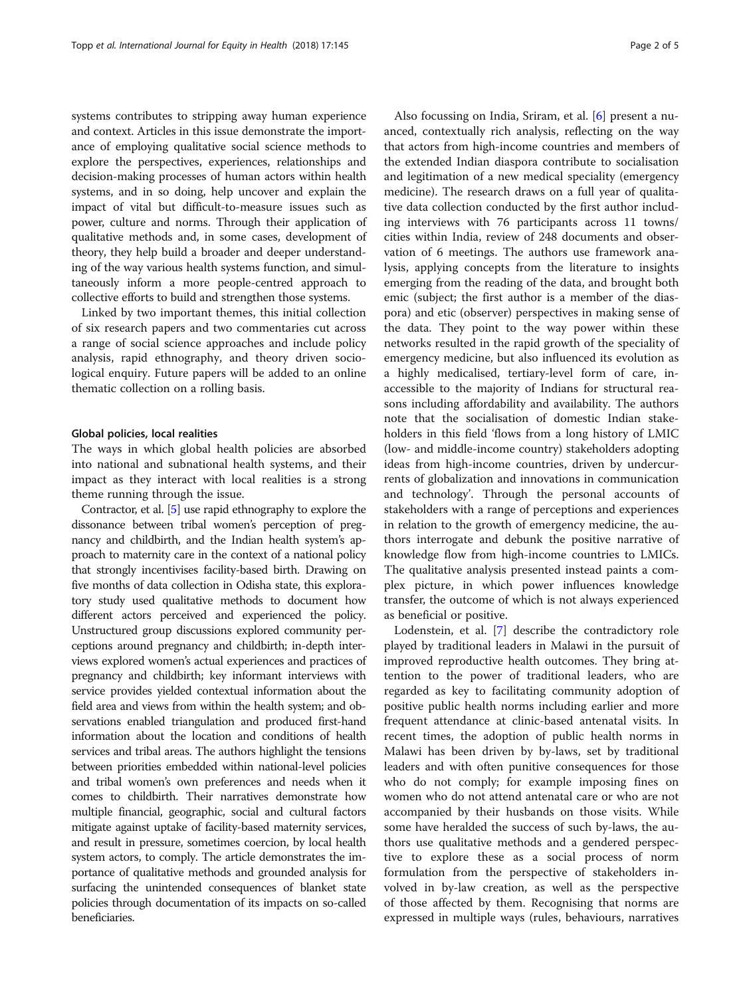systems contributes to stripping away human experience and context. Articles in this issue demonstrate the importance of employing qualitative social science methods to explore the perspectives, experiences, relationships and decision-making processes of human actors within health systems, and in so doing, help uncover and explain the impact of vital but difficult-to-measure issues such as power, culture and norms. Through their application of qualitative methods and, in some cases, development of theory, they help build a broader and deeper understanding of the way various health systems function, and simultaneously inform a more people-centred approach to collective efforts to build and strengthen those systems.

Linked by two important themes, this initial collection of six research papers and two commentaries cut across a range of social science approaches and include policy analysis, rapid ethnography, and theory driven sociological enquiry. Future papers will be added to an online thematic collection on a rolling basis.

#### Global policies, local realities

The ways in which global health policies are absorbed into national and subnational health systems, and their impact as they interact with local realities is a strong theme running through the issue.

Contractor, et al. [\[5](#page-3-0)] use rapid ethnography to explore the dissonance between tribal women's perception of pregnancy and childbirth, and the Indian health system's approach to maternity care in the context of a national policy that strongly incentivises facility-based birth. Drawing on five months of data collection in Odisha state, this exploratory study used qualitative methods to document how different actors perceived and experienced the policy. Unstructured group discussions explored community perceptions around pregnancy and childbirth; in-depth interviews explored women's actual experiences and practices of pregnancy and childbirth; key informant interviews with service provides yielded contextual information about the field area and views from within the health system; and observations enabled triangulation and produced first-hand information about the location and conditions of health services and tribal areas. The authors highlight the tensions between priorities embedded within national-level policies and tribal women's own preferences and needs when it comes to childbirth. Their narratives demonstrate how multiple financial, geographic, social and cultural factors mitigate against uptake of facility-based maternity services, and result in pressure, sometimes coercion, by local health system actors, to comply. The article demonstrates the importance of qualitative methods and grounded analysis for surfacing the unintended consequences of blanket state policies through documentation of its impacts on so-called beneficiaries.

Also focussing on India, Sriram, et al. [[6\]](#page-4-0) present a nuanced, contextually rich analysis, reflecting on the way that actors from high-income countries and members of the extended Indian diaspora contribute to socialisation and legitimation of a new medical speciality (emergency medicine). The research draws on a full year of qualitative data collection conducted by the first author including interviews with 76 participants across 11 towns/ cities within India, review of 248 documents and observation of 6 meetings. The authors use framework analysis, applying concepts from the literature to insights emerging from the reading of the data, and brought both emic (subject; the first author is a member of the diaspora) and etic (observer) perspectives in making sense of the data. They point to the way power within these networks resulted in the rapid growth of the speciality of emergency medicine, but also influenced its evolution as a highly medicalised, tertiary-level form of care, inaccessible to the majority of Indians for structural reasons including affordability and availability. The authors note that the socialisation of domestic Indian stakeholders in this field 'flows from a long history of LMIC (low- and middle-income country) stakeholders adopting ideas from high-income countries, driven by undercurrents of globalization and innovations in communication and technology'. Through the personal accounts of stakeholders with a range of perceptions and experiences in relation to the growth of emergency medicine, the authors interrogate and debunk the positive narrative of knowledge flow from high-income countries to LMICs. The qualitative analysis presented instead paints a complex picture, in which power influences knowledge transfer, the outcome of which is not always experienced as beneficial or positive.

Lodenstein, et al. [\[7](#page-4-0)] describe the contradictory role played by traditional leaders in Malawi in the pursuit of improved reproductive health outcomes. They bring attention to the power of traditional leaders, who are regarded as key to facilitating community adoption of positive public health norms including earlier and more frequent attendance at clinic-based antenatal visits. In recent times, the adoption of public health norms in Malawi has been driven by by-laws, set by traditional leaders and with often punitive consequences for those who do not comply; for example imposing fines on women who do not attend antenatal care or who are not accompanied by their husbands on those visits. While some have heralded the success of such by-laws, the authors use qualitative methods and a gendered perspective to explore these as a social process of norm formulation from the perspective of stakeholders involved in by-law creation, as well as the perspective of those affected by them. Recognising that norms are expressed in multiple ways (rules, behaviours, narratives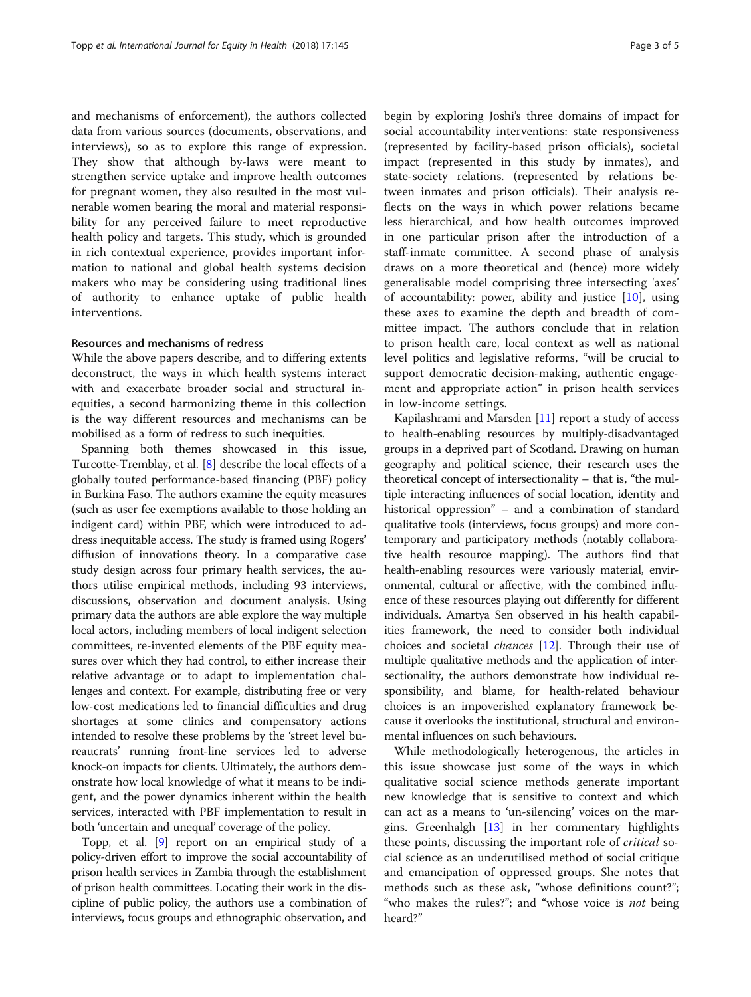and mechanisms of enforcement), the authors collected data from various sources (documents, observations, and interviews), so as to explore this range of expression. They show that although by-laws were meant to strengthen service uptake and improve health outcomes for pregnant women, they also resulted in the most vulnerable women bearing the moral and material responsibility for any perceived failure to meet reproductive health policy and targets. This study, which is grounded in rich contextual experience, provides important information to national and global health systems decision makers who may be considering using traditional lines of authority to enhance uptake of public health interventions.

#### Resources and mechanisms of redress

While the above papers describe, and to differing extents deconstruct, the ways in which health systems interact with and exacerbate broader social and structural inequities, a second harmonizing theme in this collection is the way different resources and mechanisms can be mobilised as a form of redress to such inequities.

Spanning both themes showcased in this issue, Turcotte-Tremblay, et al. [[8](#page-4-0)] describe the local effects of a globally touted performance-based financing (PBF) policy in Burkina Faso. The authors examine the equity measures (such as user fee exemptions available to those holding an indigent card) within PBF, which were introduced to address inequitable access. The study is framed using Rogers' diffusion of innovations theory. In a comparative case study design across four primary health services, the authors utilise empirical methods, including 93 interviews, discussions, observation and document analysis. Using primary data the authors are able explore the way multiple local actors, including members of local indigent selection committees, re-invented elements of the PBF equity measures over which they had control, to either increase their relative advantage or to adapt to implementation challenges and context. For example, distributing free or very low-cost medications led to financial difficulties and drug shortages at some clinics and compensatory actions intended to resolve these problems by the 'street level bureaucrats' running front-line services led to adverse knock-on impacts for clients. Ultimately, the authors demonstrate how local knowledge of what it means to be indigent, and the power dynamics inherent within the health services, interacted with PBF implementation to result in both 'uncertain and unequal' coverage of the policy.

Topp, et al. [[9](#page-4-0)] report on an empirical study of a policy-driven effort to improve the social accountability of prison health services in Zambia through the establishment of prison health committees. Locating their work in the discipline of public policy, the authors use a combination of interviews, focus groups and ethnographic observation, and

begin by exploring Joshi's three domains of impact for social accountability interventions: state responsiveness (represented by facility-based prison officials), societal impact (represented in this study by inmates), and state-society relations. (represented by relations between inmates and prison officials). Their analysis reflects on the ways in which power relations became less hierarchical, and how health outcomes improved in one particular prison after the introduction of a staff-inmate committee. A second phase of analysis draws on a more theoretical and (hence) more widely generalisable model comprising three intersecting 'axes' of accountability: power, ability and justice  $[10]$  $[10]$ , using these axes to examine the depth and breadth of committee impact. The authors conclude that in relation to prison health care, local context as well as national level politics and legislative reforms, "will be crucial to support democratic decision-making, authentic engagement and appropriate action" in prison health services in low-income settings.

Kapilashrami and Marsden [[11](#page-4-0)] report a study of access to health-enabling resources by multiply-disadvantaged groups in a deprived part of Scotland. Drawing on human geography and political science, their research uses the theoretical concept of intersectionality – that is, "the multiple interacting influences of social location, identity and historical oppression" – and a combination of standard qualitative tools (interviews, focus groups) and more contemporary and participatory methods (notably collaborative health resource mapping). The authors find that health-enabling resources were variously material, environmental, cultural or affective, with the combined influence of these resources playing out differently for different individuals. Amartya Sen observed in his health capabilities framework, the need to consider both individual choices and societal chances [[12](#page-4-0)]. Through their use of multiple qualitative methods and the application of intersectionality, the authors demonstrate how individual responsibility, and blame, for health-related behaviour choices is an impoverished explanatory framework because it overlooks the institutional, structural and environmental influences on such behaviours.

While methodologically heterogenous, the articles in this issue showcase just some of the ways in which qualitative social science methods generate important new knowledge that is sensitive to context and which can act as a means to 'un-silencing' voices on the margins. Greenhalgh [[13\]](#page-4-0) in her commentary highlights these points, discussing the important role of *critical* social science as an underutilised method of social critique and emancipation of oppressed groups. She notes that methods such as these ask, "whose definitions count?"; "who makes the rules?"; and "whose voice is *not* being heard?"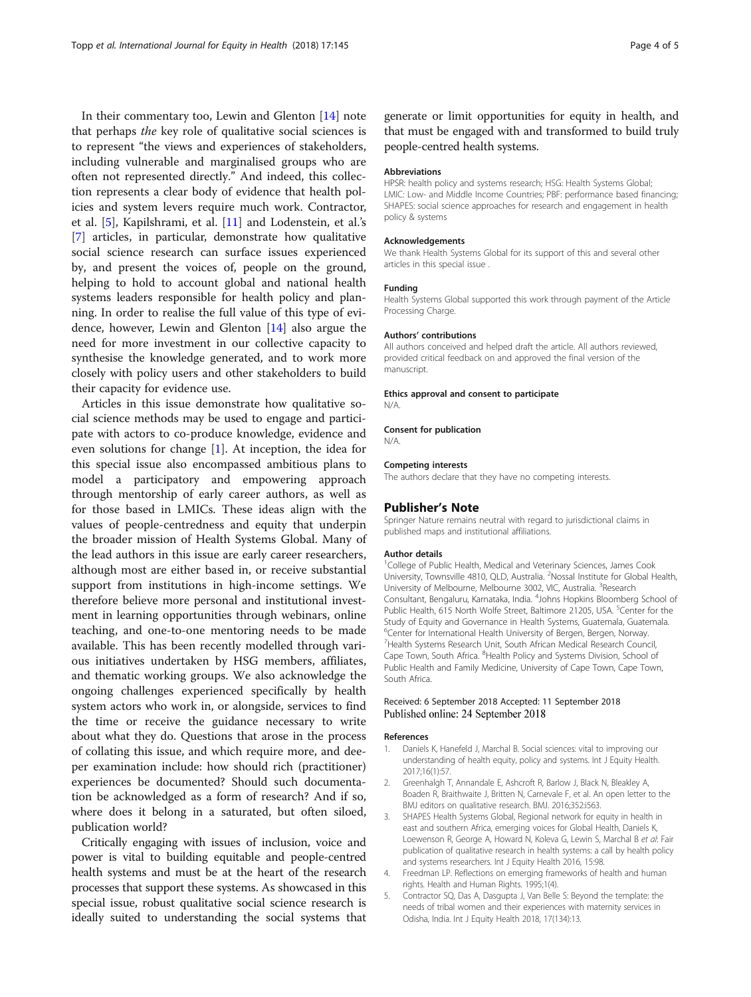<span id="page-3-0"></span>In their commentary too, Lewin and Glenton [\[14](#page-4-0)] note that perhaps the key role of qualitative social sciences is to represent "the views and experiences of stakeholders, including vulnerable and marginalised groups who are often not represented directly." And indeed, this collection represents a clear body of evidence that health policies and system levers require much work. Contractor, et al. [5], Kapilshrami, et al. [\[11](#page-4-0)] and Lodenstein, et al.'s [[7\]](#page-4-0) articles, in particular, demonstrate how qualitative social science research can surface issues experienced by, and present the voices of, people on the ground, helping to hold to account global and national health systems leaders responsible for health policy and planning. In order to realise the full value of this type of evidence, however, Lewin and Glenton [\[14](#page-4-0)] also argue the need for more investment in our collective capacity to synthesise the knowledge generated, and to work more closely with policy users and other stakeholders to build their capacity for evidence use.

Articles in this issue demonstrate how qualitative social science methods may be used to engage and participate with actors to co-produce knowledge, evidence and even solutions for change [1]. At inception, the idea for this special issue also encompassed ambitious plans to model a participatory and empowering approach through mentorship of early career authors, as well as for those based in LMICs. These ideas align with the values of people-centredness and equity that underpin the broader mission of Health Systems Global. Many of the lead authors in this issue are early career researchers, although most are either based in, or receive substantial support from institutions in high-income settings. We therefore believe more personal and institutional investment in learning opportunities through webinars, online teaching, and one-to-one mentoring needs to be made available. This has been recently modelled through various initiatives undertaken by HSG members, affiliates, and thematic working groups. We also acknowledge the ongoing challenges experienced specifically by health system actors who work in, or alongside, services to find the time or receive the guidance necessary to write about what they do. Questions that arose in the process of collating this issue, and which require more, and deeper examination include: how should rich (practitioner) experiences be documented? Should such documentation be acknowledged as a form of research? And if so, where does it belong in a saturated, but often siloed, publication world?

Critically engaging with issues of inclusion, voice and power is vital to building equitable and people-centred health systems and must be at the heart of the research processes that support these systems. As showcased in this special issue, robust qualitative social science research is ideally suited to understanding the social systems that

generate or limit opportunities for equity in health, and that must be engaged with and transformed to build truly people-centred health systems.

#### Abbreviations

HPSR: health policy and systems research; HSG: Health Systems Global; LMIC: Low- and Middle Income Countries; PBF: performance based financing; SHAPES: social science approaches for research and engagement in health policy & systems

#### Acknowledgements

We thank Health Systems Global for its support of this and several other articles in this special issue .

#### Funding

Health Systems Global supported this work through payment of the Article Processing Charge.

#### Authors' contributions

All authors conceived and helped draft the article. All authors reviewed, provided critical feedback on and approved the final version of the manuscript.

#### Ethics approval and consent to participate

N/A.

#### Consent for publication

N/A.

#### Competing interests

The authors declare that they have no competing interests.

#### Publisher's Note

Springer Nature remains neutral with regard to jurisdictional claims in published maps and institutional affiliations.

#### Author details

<sup>1</sup>College of Public Health, Medical and Veterinary Sciences, James Cook University, Townsville 4810, QLD, Australia. <sup>2</sup>Nossal Institute for Global Health University of Melbourne, Melbourne 3002, VIC, Australia. <sup>3</sup>Research Consultant, Bengaluru, Karnataka, India. <sup>4</sup> Johns Hopkins Bloomberg School of Public Health, 615 North Wolfe Street, Baltimore 21205, USA. <sup>5</sup>Center for the Study of Equity and Governance in Health Systems, Guatemala, Guatemala, <sup>6</sup>Center for International Health University of Bergen, Bergen, Norway <sup>7</sup> Health Systems Research Unit, South African Medical Research Council, Cape Town, South Africa. <sup>8</sup> Health Policy and Systems Division, School of Public Health and Family Medicine, University of Cape Town, Cape Town, South Africa.

#### Received: 6 September 2018 Accepted: 11 September 2018 Published online: 24 September 2018

#### References

- 1. Daniels K, Hanefeld J, Marchal B. Social sciences: vital to improving our understanding of health equity, policy and systems. Int J Equity Health. 2017;16(1):57.
- 2. Greenhalgh T, Annandale E, Ashcroft R, Barlow J, Black N, Bleakley A, Boaden R, Braithwaite J, Britten N, Carnevale F, et al. An open letter to the BMJ editors on qualitative research. BMJ. 2016;352:i563.
- 3. SHAPES Health Systems Global, Regional network for equity in health in east and southern Africa, emerging voices for Global Health, Daniels K, Loewenson R, George A, Howard N, Koleva G, Lewin S, Marchal B et al: Fair publication of qualitative research in health systems: a call by health policy and systems researchers. Int J Equity Health 2016, 15:98.
- 4. Freedman LP. Reflections on emerging frameworks of health and human rights. Health and Human Rights. 1995;1(4).
- 5. Contractor SQ, Das A, Dasgupta J, Van Belle S: Beyond the template: the needs of tribal women and their experiences with maternity services in Odisha, India. Int J Equity Health 2018, 17(134):13.